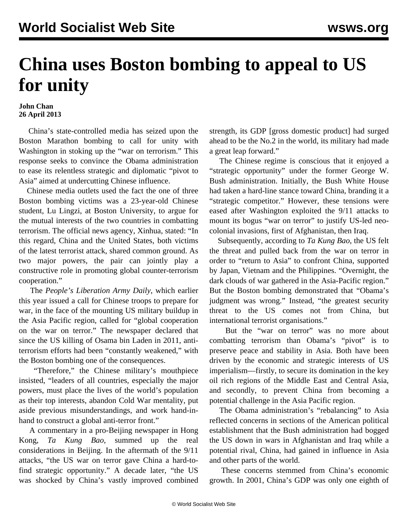## **China uses Boston bombing to appeal to US for unity**

## **John Chan 26 April 2013**

 China's state-controlled media has seized upon the Boston Marathon bombing to call for unity with Washington in stoking up the "war on terrorism." This response seeks to convince the Obama administration to ease its relentless strategic and diplomatic "pivot to Asia" aimed at undercutting Chinese influence.

 Chinese media outlets used the fact the one of three Boston bombing victims was a 23-year-old Chinese student, Lu Lingzi, at Boston University, to argue for the mutual interests of the two countries in combatting terrorism. The official news agency, Xinhua, stated: "In this regard, China and the United States, both victims of the latest terrorist attack, shared common ground. As two major powers, the pair can jointly play a constructive role in promoting global counter-terrorism cooperation."

 The *People's Liberation Army Daily*, which earlier this year issued a call for Chinese troops to prepare for war, in the face of the mounting US military buildup in the Asia Pacific region, called for "global cooperation on the war on terror." The newspaper declared that since the US killing of Osama bin Laden in 2011, antiterrorism efforts had been "constantly weakened," with the Boston bombing one of the consequences.

 "Therefore," the Chinese military's mouthpiece insisted, "leaders of all countries, especially the major powers, must place the lives of the world's population as their top interests, abandon Cold War mentality, put aside previous misunderstandings, and work hand-inhand to construct a global anti-terror front."

 A commentary in a pro-Beijing newspaper in Hong Kong, *Ta Kung Bao*, summed up the real considerations in Beijing. In the aftermath of the 9/11 attacks, "the US war on terror gave China a hard-tofind strategic opportunity." A decade later, "the US was shocked by China's vastly improved combined strength, its GDP [gross domestic product] had surged ahead to be the No.2 in the world, its military had made a great leap forward."

 The Chinese regime is conscious that it enjoyed a "strategic opportunity" under the former George W. Bush administration. Initially, the Bush White House had taken a hard-line stance toward China, branding it a "strategic competitor." However, these tensions were eased after Washington exploited the 9/11 attacks to mount its bogus "war on terror" to justify US-led neocolonial invasions, first of Afghanistan, then Iraq.

 Subsequently, according to *Ta Kung Bao*, the US felt the threat and pulled back from the war on terror in order to "return to Asia" to confront China, supported by Japan, Vietnam and the Philippines. "Overnight, the dark clouds of war gathered in the Asia-Pacific region." But the Boston bombing demonstrated that "Obama's judgment was wrong." Instead, "the greatest security threat to the US comes not from China, but international terrorist organisations."

 But the "war on terror" was no more about combatting terrorism than Obama's "pivot" is to preserve peace and stability in Asia. Both have been driven by the economic and strategic interests of US imperialism—firstly, to secure its domination in the key oil rich regions of the Middle East and Central Asia, and secondly, to prevent China from becoming a potential challenge in the Asia Pacific region.

 The Obama administration's "rebalancing" to Asia reflected concerns in sections of the American political establishment that the Bush administration had bogged the US down in wars in Afghanistan and Iraq while a potential rival, China, had gained in influence in Asia and other parts of the world.

 These concerns stemmed from China's economic growth. In 2001, China's GDP was only one eighth of